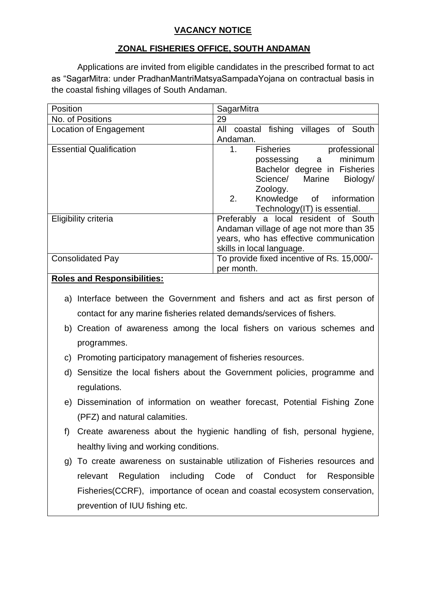# **VACANCY NOTICE**

# **ZONAL FISHERIES OFFICE, SOUTH ANDAMAN**

Applications are invited from eligible candidates in the prescribed format to act as "SagarMitra: under PradhanMantriMatsyaSampadaYojana on contractual basis in the coastal fishing villages of South Andaman.

| Position                       | SagarMitra                                 |  |  |
|--------------------------------|--------------------------------------------|--|--|
| No. of Positions               | 29                                         |  |  |
| Location of Engagement         | coastal fishing villages of South<br>All   |  |  |
|                                | Andaman.                                   |  |  |
| <b>Essential Qualification</b> | 1.<br><b>Fisheries</b><br>professional     |  |  |
|                                | minimum<br>possessing a                    |  |  |
|                                | Bachelor degree in Fisheries               |  |  |
|                                | Science/ Marine Biology/                   |  |  |
|                                | Zoology.                                   |  |  |
|                                | 2.<br>Knowledge of information             |  |  |
|                                | Technology(IT) is essential.               |  |  |
| Eligibility criteria           | Preferably a local resident of South       |  |  |
|                                | Andaman village of age not more than 35    |  |  |
|                                | years, who has effective communication     |  |  |
|                                | skills in local language.                  |  |  |
| <b>Consolidated Pay</b>        | To provide fixed incentive of Rs. 15,000/- |  |  |
|                                | per month.                                 |  |  |
| <br>- -<br>$\sim$              |                                            |  |  |

### **Roles and Responsibilities:**

- a) Interface between the Government and fishers and act as first person of contact for any marine fisheries related demands/services of fishers.
- b) Creation of awareness among the local fishers on various schemes and programmes.
- c) Promoting participatory management of fisheries resources.
- d) Sensitize the local fishers about the Government policies, programme and regulations.
- e) Dissemination of information on weather forecast, Potential Fishing Zone (PFZ) and natural calamities.
- f) Create awareness about the hygienic handling of fish, personal hygiene, healthy living and working conditions.
- g) To create awareness on sustainable utilization of Fisheries resources and relevant Regulation including Code of Conduct for Responsible Fisheries(CCRF), importance of ocean and coastal ecosystem conservation, prevention of IUU fishing etc.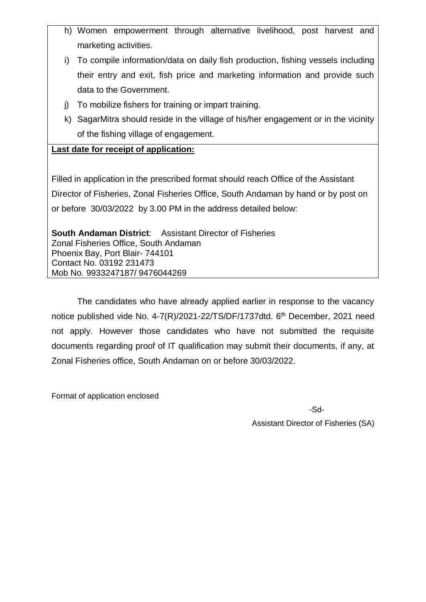- h) Women empowerment through alternative livelihood, post harvest and marketing activities.
- i) To compile information/data on daily fish production, fishing vessels including their entry and exit, fish price and marketing information and provide such data to the Government.
- j) To mobilize fishers for training or impart training.
- k) SagarMitra should reside in the village of his/her engagement or in the vicinity of the fishing village of engagement.

## **Last date for receipt of application:**

Filled in application in the prescribed format should reach Office of the Assistant Director of Fisheries, Zonal Fisheries Office, South Andaman by hand or by post on or before 30/03/2022 by 3.00 PM in the address detailed below:

**South Andaman District**: Assistant Director of Fisheries Zonal Fisheries Office, South Andaman Phoenix Bay, Port Blair- 744101 Contact No. 03192 231473 Mob No. 9933247187/ 9476044269

The candidates who have already applied earlier in response to the vacancy notice published vide No. 4-7(R)/2021-22/TS/DF/1737dtd. 6<sup>th</sup> December, 2021 need not apply. However those candidates who have not submitted the requisite documents regarding proof of IT qualification may submit their documents, if any, at Zonal Fisheries office, South Andaman on or before 30/03/2022.

Format of application enclosed

-Sd-

Assistant Director of Fisheries (SA)